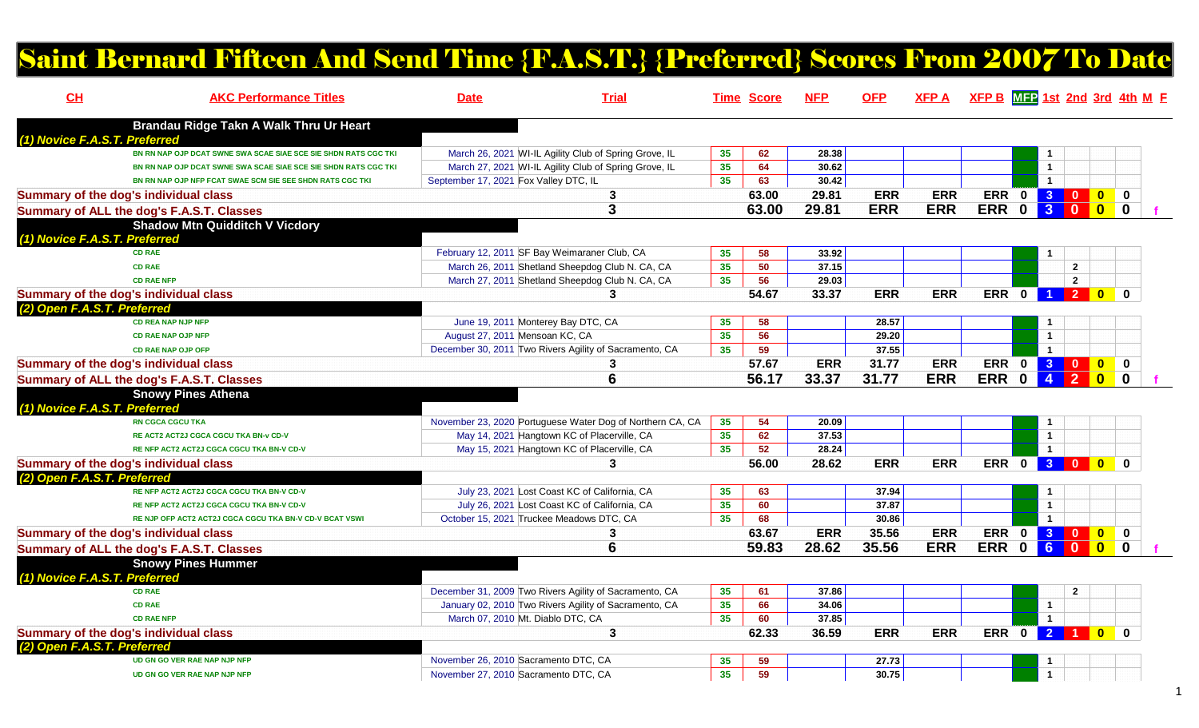## Saint Bernard Fifteen And Send Time {F.A.S.T.} {Preferred} Scores From 2007 To Date

| CH                            | <b>AKC Performance Titles</b>                                   | <b>Date</b>                           | <b>Trial</b>                                              |                 | <b>Time Score</b> | <b>NFP</b> | <b>OFP</b> | <b>XFPA</b> | $XFP B$ $MFP 1st 2nd 3rd 4th M F$ |             |                      |                                                     |                                                                        |  |
|-------------------------------|-----------------------------------------------------------------|---------------------------------------|-----------------------------------------------------------|-----------------|-------------------|------------|------------|-------------|-----------------------------------|-------------|----------------------|-----------------------------------------------------|------------------------------------------------------------------------|--|
|                               | Brandau Ridge Takn A Walk Thru Ur Heart                         |                                       |                                                           |                 |                   |            |            |             |                                   |             |                      |                                                     |                                                                        |  |
| (1) Novice F.A.S.T. Preferred |                                                                 |                                       |                                                           |                 |                   |            |            |             |                                   |             |                      |                                                     |                                                                        |  |
|                               | BN RN NAP OJP DCAT SWNE SWA SCAE SIAE SCE SIE SHDN RATS CGC TKI |                                       | March 26, 2021 WI-IL Agility Club of Spring Grove, IL     | 35 <sub>5</sub> | 62                | 28.38      |            |             |                                   |             |                      |                                                     |                                                                        |  |
|                               | BN RN NAP OJP DCAT SWNE SWA SCAE SIAE SCE SIE SHDN RATS CGC TKI |                                       | March 27, 2021 WI-IL Agility Club of Spring Grove, IL     | 35              | 64                | 30.62      |            |             |                                   |             | $\mathbf{1}$         |                                                     |                                                                        |  |
|                               | BN RN NAP OJP NFP FCAT SWAE SCM SIE SEE SHDN RATS CGC TKI       | September 17, 2021 Fox Valley DTC, IL |                                                           | 35              | 63                | 30.42      |            |             |                                   |             | $\mathbf{1}$         |                                                     |                                                                        |  |
|                               | Summary of the dog's individual class                           |                                       | 3                                                         |                 | 63.00             | 29.81      | <b>ERR</b> | <b>ERR</b>  |                                   | ERR 0 3 0   |                      |                                                     | $\bullet$<br>$\mathbf 0$                                               |  |
|                               | Summary of ALL the dog's F.A.S.T. Classes                       |                                       | 3                                                         |                 | 63.00             | 29.81      | <b>ERR</b> | <b>ERR</b>  | ERR 0                             |             | 30                   |                                                     | $\begin{array}{ c c c }\n\hline\n\textbf{0} & \textbf{0}\n\end{array}$ |  |
|                               | <b>Shadow Mtn Quidditch V Vicdory</b>                           |                                       |                                                           |                 |                   |            |            |             |                                   |             |                      |                                                     |                                                                        |  |
| (1) Novice F.A.S.T. Preferred |                                                                 |                                       |                                                           |                 |                   |            |            |             |                                   |             |                      |                                                     |                                                                        |  |
|                               | <b>CD RAE</b>                                                   |                                       | February 12, 2011 SF Bay Weimaraner Club, CA              | 35              | 58                | 33.92      |            |             |                                   |             |                      |                                                     |                                                                        |  |
|                               | <b>CD RAE</b>                                                   |                                       | March 26, 2011 Shetland Sheepdog Club N. CA, CA           | 35              | 50                | 37.15      |            |             |                                   |             |                      | $\overline{2}$                                      |                                                                        |  |
|                               | <b>CD RAE NFP</b>                                               |                                       | March 27, 2011 Shetland Sheepdog Club N. CA, CA           | 35              | 56                | 29.03      |            |             |                                   |             |                      | $\overline{2}$                                      |                                                                        |  |
|                               | Summary of the dog's individual class                           |                                       | 3                                                         |                 | 54.67             | 33.37      | <b>ERR</b> | <b>ERR</b>  |                                   | ERR 0       |                      | 1 2 0                                               | $\mathbf{0}$                                                           |  |
| (2) Open F.A.S.T. Preferred   |                                                                 |                                       |                                                           |                 |                   |            |            |             |                                   |             |                      |                                                     |                                                                        |  |
|                               | <b>CD REA NAP NJP NFP</b>                                       |                                       | June 19, 2011 Monterey Bay DTC, CA                        | 35              | 58                |            | 28.57      |             |                                   |             |                      |                                                     |                                                                        |  |
|                               | <b>CD RAE NAP OJP NFP</b>                                       | August 27, 2011 Mensoan KC, CA        |                                                           | 35              | 56                |            | 29.20      |             |                                   |             | $\mathbf{1}$         |                                                     |                                                                        |  |
|                               | <b>CD RAE NAP OJP OFP</b>                                       |                                       | December 30, 2011 Two Rivers Agility of Sacramento, CA    | 35              | 59                |            | 37.55      |             |                                   |             | $\mathbf{1}$         |                                                     |                                                                        |  |
|                               | Summary of the dog's individual class                           |                                       |                                                           |                 | 57.67             | <b>ERR</b> | 31.77      | <b>ERR</b>  | ERR 0                             |             |                      |                                                     | $\bullet$<br>$\mathbf 0$                                               |  |
|                               | Summary of ALL the dog's F.A.S.T. Classes                       |                                       | 6                                                         |                 | 56.17             | 33.37      | 31.77      | <b>ERR</b>  | ERR 0                             |             | $\overline{4}$       | $\overline{\phantom{1}}$ 2                          |                                                                        |  |
|                               | <b>Snowy Pines Athena</b>                                       |                                       |                                                           |                 |                   |            |            |             |                                   |             |                      |                                                     |                                                                        |  |
| (1) Novice F.A.S.T. Preferred |                                                                 |                                       |                                                           |                 |                   |            |            |             |                                   |             |                      |                                                     |                                                                        |  |
|                               | <b>RN CGCA CGCU TKA</b>                                         |                                       | November 23, 2020 Portuguese Water Dog of Northern CA, CA | 35              | 54                | 20.09      |            |             |                                   |             | 1                    |                                                     |                                                                        |  |
|                               | RE ACT2 ACT2J CGCA CGCU TKA BN-v CD-V                           |                                       | May 14, 2021 Hangtown KC of Placerville, CA               | 35              | 62                | 37.53      |            |             |                                   |             | $\mathbf{1}$         |                                                     |                                                                        |  |
|                               | RE NFP ACT2 ACT2J CGCA CGCU TKA BN-V CD-V                       |                                       | May 15, 2021 Hangtown KC of Placerville, CA               | 35              | 52                | 28.24      |            |             |                                   |             | $\mathbf{1}$         |                                                     |                                                                        |  |
|                               | Summary of the dog's individual class                           |                                       | 3                                                         |                 | 56.00             | 28.62      | <b>ERR</b> | <b>ERR</b>  | ERR 0                             |             | 30                   | $\mathbf{0}$                                        | $\Omega$                                                               |  |
| (2) Open F.A.S.T. Preferred   |                                                                 |                                       |                                                           |                 |                   |            |            |             |                                   |             |                      |                                                     |                                                                        |  |
|                               | RE NFP ACT2 ACT2J CGCA CGCU TKA BN-V CD-V                       |                                       | July 23, 2021 Lost Coast KC of California, CA             | 35              | 63                |            | 37.94      |             |                                   |             |                      |                                                     |                                                                        |  |
|                               | RE NFP ACT2 ACT2J CGCA CGCU TKA BN-V CD-V                       |                                       | July 26, 2021 Lost Coast KC of California, CA             | 35              | 60                |            | 37.87      |             |                                   |             | $\mathbf{1}$         |                                                     |                                                                        |  |
|                               | RE NJP OFP ACT2 ACT2J CGCA CGCU TKA BN-V CD-V BCAT VSWI         |                                       | October 15, 2021 Truckee Meadows DTC, CA                  | 35              | 68                |            | 30.86      |             |                                   |             | $\blacktriangleleft$ |                                                     |                                                                        |  |
|                               | Summary of the dog's individual class                           |                                       | 3                                                         |                 | 63.67             | <b>ERR</b> | 35.56      | <b>ERR</b>  |                                   |             |                      | ERR 0 3 0 0                                         | $\mathbf 0$                                                            |  |
|                               | Summary of ALL the dog's F.A.S.T. Classes                       |                                       | 6                                                         |                 | 59.83             | 28.62      | 35.56      | <b>ERR</b>  | <b>ERR</b>                        | $\mathbf 0$ | $\overline{6}$       | $\overline{\phantom{0}}$<br>$\overline{\mathbf{0}}$ | $\mathbf 0$                                                            |  |
|                               | <b>Snowy Pines Hummer</b>                                       |                                       |                                                           |                 |                   |            |            |             |                                   |             |                      |                                                     |                                                                        |  |
| (1) Novice F.A.S.T. Preferred |                                                                 |                                       |                                                           |                 |                   |            |            |             |                                   |             |                      |                                                     |                                                                        |  |
|                               | <b>CD RAE</b>                                                   |                                       | December 31, 2009 Two Rivers Agility of Sacramento, CA    | 35              | 61                | 37.86      |            |             |                                   |             |                      | $\overline{2}$                                      |                                                                        |  |
|                               | <b>CD RAE</b>                                                   |                                       | January 02, 2010 Two Rivers Agility of Sacramento, CA     | 35              | 66                | 34.06      |            |             |                                   |             | $\mathbf{1}$         |                                                     |                                                                        |  |
|                               | <b>CD RAE NFP</b>                                               | March 07, 2010 Mt. Diablo DTC, CA     |                                                           | 35              | 60                | 37.85      |            |             |                                   |             | $\mathbf{1}$         |                                                     |                                                                        |  |
|                               | Summary of the dog's individual class                           |                                       | 3                                                         |                 | 62.33             | 36.59      | <b>ERR</b> | <b>ERR</b>  | ERR 0                             |             |                      | 2 1 0                                               | $\Omega$                                                               |  |
| (2) Open F.A.S.T. Preferred   |                                                                 |                                       |                                                           |                 |                   |            |            |             |                                   |             |                      |                                                     |                                                                        |  |
|                               | UD GN GO VER RAE NAP NJP NFP                                    | November 26, 2010 Sacramento DTC, CA  |                                                           | 35 <sub>5</sub> | 59                |            | 27.73      |             |                                   |             |                      |                                                     |                                                                        |  |
|                               | UD GN GO VER RAE NAP NJP NFP                                    | November 27, 2010 Sacramento DTC, CA  |                                                           | 35              | 59                |            | 30.75      |             |                                   |             |                      |                                                     |                                                                        |  |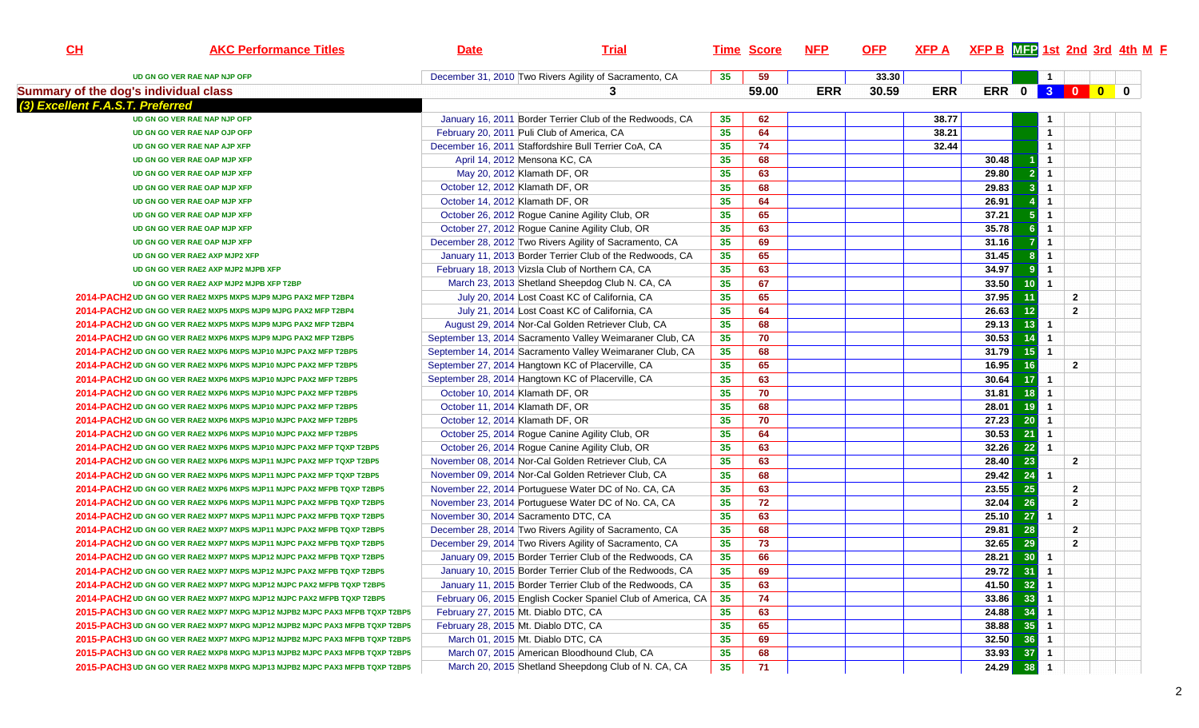| CL | <b>AKC Performance Titles</b>                                                                                                                    | <b>Date</b>                                | <b>Trial</b>                                                 |                 | <b>Time Score</b> | <b>NFP</b> | <u>OFP</u> | $XFP A$ XFP B $MTP$ 1st 2nd 3rd 4th M F |       |                 |                |                                  |  |
|----|--------------------------------------------------------------------------------------------------------------------------------------------------|--------------------------------------------|--------------------------------------------------------------|-----------------|-------------------|------------|------------|-----------------------------------------|-------|-----------------|----------------|----------------------------------|--|
|    | UD GN GO VER RAE NAP NJP OFP                                                                                                                     |                                            | December 31, 2010 Two Rivers Agility of Sacramento, CA       | 35              | 59                |            | 33.30      |                                         |       |                 | $\mathbf{1}$   |                                  |  |
|    | Summary of the dog's individual class                                                                                                            |                                            | 3                                                            |                 | 59.00             | <b>ERR</b> | 30.59      | <b>ERR</b>                              |       |                 |                | ERR 0 3 0 0 0                    |  |
|    | (3) Excellent F.A.S.T. Preferred                                                                                                                 |                                            |                                                              |                 |                   |            |            |                                         |       |                 |                |                                  |  |
|    | UD GN GO VER RAE NAP NJP OFP                                                                                                                     |                                            | January 16, 2011 Border Terrier Club of the Redwoods, CA     | 35              | 62                |            |            | 38.77                                   |       |                 |                |                                  |  |
|    | UD GN GO VER RAE NAP OJP OFP                                                                                                                     | February 20, 2011 Puli Club of America, CA |                                                              | 35              | 64                |            |            | 38.21                                   |       |                 | $\overline{1}$ |                                  |  |
|    | UD GN GO VER RAE NAP AJP XFP                                                                                                                     |                                            | December 16, 2011 Staffordshire Bull Terrier CoA, CA         | 35              | 74                |            |            | 32.44                                   |       |                 | $\mathbf{1}$   |                                  |  |
|    | UD GN GO VER RAE OAP MJP XFP                                                                                                                     | April 14, 2012 Mensona KC, CA              |                                                              | 35              | 68                |            |            |                                         | 30.48 |                 | $\mathbf{1}$   |                                  |  |
|    | UD GN GO VER RAE OAP MJP XFP                                                                                                                     | May 20, 2012 Klamath DF, OR                |                                                              | 35              | 63                |            |            |                                         | 29.80 | $\overline{2}$  | $\overline{1}$ |                                  |  |
|    | UD GN GO VER RAE OAP MJP XFP                                                                                                                     | October 12, 2012 Klamath DF, OR            |                                                              | 35              | 68                |            |            |                                         | 29.83 | 3 <sup>1</sup>  | $\overline{1}$ |                                  |  |
|    | UD GN GO VER RAE OAP MJP XFP                                                                                                                     | October 14, 2012 Klamath DF, OR            |                                                              | 35              | 64                |            |            |                                         | 26.91 |                 | $\overline{1}$ |                                  |  |
|    | UD GN GO VER RAE OAP MJP XFP                                                                                                                     |                                            | October 26, 2012 Rogue Canine Agility Club, OR               | 35              | 65                |            |            |                                         | 37.21 | 5 <sup>1</sup>  | $\overline{1}$ |                                  |  |
|    | UD GN GO VER RAE OAP MJP XFP                                                                                                                     |                                            | October 27, 2012 Rogue Canine Agility Club, OR               | 35              | 63                |            |            |                                         | 35.78 | 6 <sup>1</sup>  | $\overline{1}$ |                                  |  |
|    | UD GN GO VER RAE OAP MJP XFP                                                                                                                     |                                            | December 28, 2012 Two Rivers Agility of Sacramento, CA       | 35              | 69                |            |            |                                         | 31.16 | $\overline{7}$  | $\overline{1}$ |                                  |  |
|    | UD GN GO VER RAE2 AXP MJP2 XFP                                                                                                                   |                                            | January 11, 2013 Border Terrier Club of the Redwoods, CA     | 35              | 65                |            |            |                                         | 31.45 | 8 <sup>1</sup>  | $\overline{1}$ |                                  |  |
|    | UD GN GO VER RAE2 AXP MJP2 MJPB XFP                                                                                                              |                                            | February 18, 2013 Vizsla Club of Northern CA, CA             | 35              | 63                |            |            |                                         | 34.97 | 9 <sup>1</sup>  | $\overline{1}$ |                                  |  |
|    | UD GN GO VER RAE2 AXP MJP2 MJPB XFP T2BP                                                                                                         |                                            | March 23, 2013 Shetland Sheepdog Club N. CA, CA              | 35              | 67                |            |            |                                         | 33.50 | 10 <sup>1</sup> | $\overline{1}$ |                                  |  |
|    | 2014-PACH2 UD GN GO VER RAE2 MXP5 MXPS MJP9 MJPG PAX2 MFP T2BP4                                                                                  |                                            | July 20, 2014 Lost Coast KC of California, CA                | 35              | 65                |            |            |                                         | 37.95 | 11              |                | $\overline{2}$                   |  |
|    | 2014-PACH2 UD GN GO VER RAE2 MXP5 MXPS MJP9 MJPG PAX2 MFP T2BP4                                                                                  |                                            | July 21, 2014 Lost Coast KC of California, CA                | 35              | 64                |            |            |                                         | 26.63 | 12 <sub>2</sub> |                | $\overline{2}$                   |  |
|    | 2014-PACH2 UD GN GO VER RAE2 MXP5 MXPS MJP9 MJPG PAX2 MFP T2BP4                                                                                  |                                            | August 29, 2014 Nor-Cal Golden Retriever Club, CA            | 35              | 68                |            |            |                                         | 29.13 | 13              | $\overline{1}$ |                                  |  |
|    | 2014-PACH2 UD GN GO VER RAE2 MXP6 MXPS MJP9 MJPG PAX2 MFP T2BP5                                                                                  |                                            | September 13, 2014 Sacramento Valley Weimaraner Club, CA     | 35              | 70                |            |            |                                         | 30.53 | 14              | $\overline{1}$ |                                  |  |
|    | 2014-PACH2 UD GN GO VER RAE2 MXP6 MXPS MJP10 MJPC PAX2 MFP T2BP5                                                                                 |                                            | September 14, 2014 Sacramento Valley Weimaraner Club, CA     | 35              | 68                |            |            |                                         | 31.79 | 15 <sup>1</sup> | $\overline{1}$ |                                  |  |
|    | 2014-PACH2 UD GN GO VER RAE2 MXP6 MXPS MJP10 MJPC PAX2 MFP T2BP5                                                                                 |                                            | September 27, 2014 Hangtown KC of Placerville, CA            | 35              | 65                |            |            |                                         | 16.95 | 16              |                | $\mathbf{2}$                     |  |
|    | 2014-PACH2 UD GN GO VER RAE2 MXP6 MXPS MJP10 MJPC PAX2 MFP T2BP5                                                                                 |                                            | September 28, 2014 Hangtown KC of Placerville, CA            | 35              | 63                |            |            |                                         | 30.64 | 17              | $\overline{1}$ |                                  |  |
|    | 2014-PACH2 UD GN GO VER RAE2 MXP6 MXPS MJP10 MJPC PAX2 MFP T2BP5                                                                                 | October 10, 2014 Klamath DF, OR            |                                                              | 35              | $\overline{70}$   |            |            |                                         | 31.81 | 18              | $\overline{1}$ |                                  |  |
|    | 2014-PACH2 UD GN GO VER RAE2 MXP6 MXPS MJP10 MJPC PAX2 MFP T2BP5                                                                                 | October 11, 2014 Klamath DF, OR            |                                                              | 35              | 68                |            |            |                                         | 28.01 | 19              | $\overline{1}$ |                                  |  |
|    | 2014-PACH2 UD GN GO VER RAE2 MXP6 MXPS MJP10 MJPC PAX2 MFP T2BP5                                                                                 | October 12, 2014 Klamath DF, OR            |                                                              | 35              | 70                |            |            |                                         | 27.23 | 20 <sup>1</sup> | $\overline{1}$ |                                  |  |
|    | 2014-PACH2 UD GN GO VER RAE2 MXP6 MXPS MJP10 MJPC PAX2 MFP T2BP5                                                                                 |                                            | October 25, 2014 Rogue Canine Agility Club, OR               | 35              | 64                |            |            |                                         | 30.53 | 21              | $\overline{1}$ |                                  |  |
|    | 2014-PACH2 UD GN GO VER RAE2 MXP6 MXPS MJP10 MJPC PAX2 MFP TQXP T2BP5                                                                            |                                            | October 26, 2014 Rogue Canine Agility Club, OR               | 35              | 63                |            |            |                                         | 32.26 | 22              | $\overline{1}$ |                                  |  |
|    | 2014-PACH2 UD GN GO VER RAE2 MXP6 MXPS MJP11 MJPC PAX2 MFP TQXP T2BP5                                                                            |                                            | November 08, 2014 Nor-Cal Golden Retriever Club, CA          | 35              | 63                |            |            |                                         | 28.40 | 23              |                | $\overline{2}$                   |  |
|    | 2014-PACH2 UD GN GO VER RAE2 MXP6 MXPS MJP11 MJPC PAX2 MFP TQXP T2BP5                                                                            |                                            | November 09, 2014 Nor-Cal Golden Retriever Club, CA          |                 | 68                |            |            |                                         | 29.42 | 24              | $\overline{1}$ |                                  |  |
|    | 2014-PACH2 UD GN GO VER RAE2 MXP6 MXPS MJP11 MJPC PAX2 MFPB TQXP T2BP5                                                                           |                                            | November 22, 2014 Portuguese Water DC of No. CA, CA          | 35<br>35        | 63                |            |            |                                         | 23.55 | 25              |                |                                  |  |
|    |                                                                                                                                                  |                                            |                                                              |                 | 72                |            |            |                                         | 32.04 | 26              |                | $\overline{2}$<br>$\overline{2}$ |  |
|    | 2014-PACH2 UD GN GO VER RAE2 MXP6 MXPS MJP11 MJPC PAX2 MFPB TQXP T2BP5<br>2014-PACH2 UD GN GO VER RAE2 MXP7 MXPS MJP11 MJPC PAX2 MFPB TQXP T2BP5 | November 30, 2014 Sacramento DTC, CA       | November 23, 2014 Portuguese Water DC of No. CA, CA          | 35              | 63                |            |            |                                         | 25.10 | 27 <sup>1</sup> | $\overline{1}$ |                                  |  |
|    |                                                                                                                                                  |                                            |                                                              | 35<br>35        | 68                |            |            |                                         | 29.81 |                 |                |                                  |  |
|    | 2014-PACH2 UD GN GO VER RAE2 MXP7 MXPS MJP11 MJPC PAX2 MFPB TQXP T2BP5                                                                           |                                            | December 28, 2014 Two Rivers Agility of Sacramento, CA       |                 |                   |            |            |                                         |       | 28              |                | $\overline{2}$                   |  |
|    | 2014-PACH2 UD GN GO VER RAE2 MXP7 MXPS MJP11 MJPC PAX2 MFPB TQXP T2BP5                                                                           |                                            | December 29, 2014 Two Rivers Agility of Sacramento, CA       | 35              | 73                |            |            |                                         | 32.65 | 29              |                | $\overline{2}$                   |  |
|    | 2014-PACH2 UD GN GO VER RAE2 MXP7 MXPS MJP12 MJPC PAX2 MFPB TQXP T2BP5                                                                           |                                            | January 09, 2015 Border Terrier Club of the Redwoods, CA     | 35              | 66                |            |            |                                         | 28.21 | 30              | $\overline{1}$ |                                  |  |
|    | 2014-PACH2 UD GN GO VER RAE2 MXP7 MXPS MJP12 MJPC PAX2 MFPB TQXP T2BP5                                                                           |                                            | January 10, 2015 Border Terrier Club of the Redwoods, CA     | 35              | 69                |            |            |                                         |       | $29.72$ 31 1    |                |                                  |  |
|    | 2014-PACH2 UD GN GO VER RAE2 MXP7 MXPG MJP12 MJPC PAX2 MFPB TQXP T2BP5                                                                           |                                            | January 11, 2015 Border Terrier Club of the Redwoods, CA     | 35              | 63                |            |            |                                         |       | 41.50 32 1      |                |                                  |  |
|    | 2014-PACH2 UD GN GO VER RAE2 MXP7 MXPG MJP12 MJPC PAX2 MFPB TQXP T2BP5                                                                           |                                            | February 06, 2015 English Cocker Spaniel Club of America, CA | 35              | 74                |            |            |                                         |       | $33.86$ 33 1    |                |                                  |  |
|    | 2015-PACH3 UD GN GO VER RAE2 MXP7 MXPG MJP12 MJPB2 MJPC PAX3 MFPB TQXP T2BP5                                                                     | February 27, 2015 Mt. Diablo DTC, CA       |                                                              | 35              | 63                |            |            |                                         | 24.88 | $34$ 1          |                |                                  |  |
|    | 2015-PACH3 UD GN GO VER RAE2 MXP7 MXPG MJP12 MJPB2 MJPC PAX3 MFPB TQXP T2BP5                                                                     | February 28, 2015 Mt. Diablo DTC, CA       |                                                              | 35              | 65                |            |            |                                         | 38.88 | $35$ 1          |                |                                  |  |
|    | 2015-PACH3 UD GN GO VER RAE2 MXP7 MXPG MJP12 MJPB2 MJPC PAX3 MFPB TQXP T2BP5                                                                     | March 01, 2015 Mt. Diablo DTC, CA          |                                                              | 35              | 69                |            |            |                                         | 32.50 | $36$ 1          |                |                                  |  |
|    | 2015-PACH3 UD GN GO VER RAE2 MXP8 MXPG MJP13 MJPB2 MJPC PAX3 MFPB TQXP T2BP5                                                                     |                                            | March 07, 2015 American Bloodhound Club, CA                  | 35              | 68                |            |            |                                         |       | $33.93$ 37 1    |                |                                  |  |
|    | 2015-PACH3 UD GN GO VER RAE2 MXP8 MXPG MJP13 MJPB2 MJPC PAX3 MFPB TQXP T2BP5                                                                     |                                            | March 20, 2015 Shetland Sheepdong Club of N. CA, CA          | 35 <sub>5</sub> | 71                |            |            |                                         | 24.29 | 38              | $\overline{1}$ |                                  |  |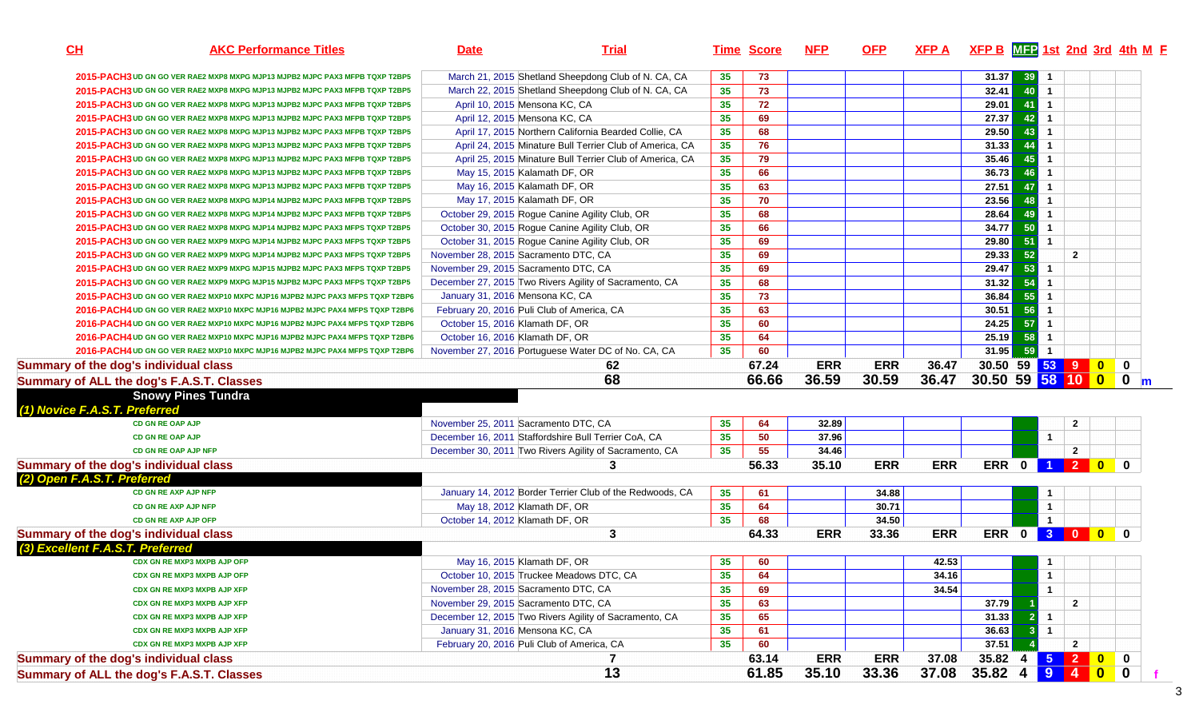| $39$ 1<br>March 21, 2015 Shetland Sheepdong Club of N. CA, CA<br>73<br>31.37<br>35<br>2015-PACH3 UD GN GO VER RAE2 MXP8 MXPG MJP13 MJPB2 MJPC PAX3 MFPB TQXP T2BP5<br>32.41<br>March 22, 2015 Shetland Sheepdong Club of N. CA, CA<br>35<br>40<br>$\overline{1}$<br>73<br>2015-PACH3 UD GN GO VER RAE2 MXP8 MXPG MJP13 MJPB2 MJPC PAX3 MFPB TQXP T2BP5<br>41<br>35<br>29.01<br>$\overline{1}$<br>April 10, 2015 Mensona KC, CA<br>72<br>2015-PACH3 UD GN GO VER RAE2 MXP8 MXPG MJP13 MJPB2 MJPC PAX3 MFPB TQXP T2BP5<br>35<br>27.37<br>42<br>69<br>$\overline{1}$<br>April 12, 2015 Mensona KC, CA<br>2015-PACH3 UD GN GO VER RAE2 MXP8 MXPG MJP13 MJPB2 MJPC PAX3 MFPB TQXP T2BP5<br>35<br>29.50<br>43<br>April 17, 2015 Northern California Bearded Collie, CA<br>68<br>$\overline{1}$<br>2015-PACH3 UD GN GO VER RAE2 MXP8 MXPG MJP13 MJPB2 MJPC PAX3 MFPB TQXP T2BP5<br>35<br>$31.33$<br>April 24, 2015 Minature Bull Terrier Club of America, CA<br>76<br>44<br>$\overline{1}$<br>2015-PACH3 UD GN GO VER RAE2 MXP8 MXPG MJP13 MJPB2 MJPC PAX3 MFPB TQXP T2BP5<br>35<br>35.46<br>79<br>45<br>$\overline{1}$<br>April 25, 2015 Minature Bull Terrier Club of America, CA<br>2015-PACH3 UD GN GO VER RAE2 MXP8 MXPG MJP13 MJPB2 MJPC PAX3 MFPB TQXP T2BP5<br>35<br>36.73<br>66<br>46<br>$\mathbf{1}$<br>2015-PACH3 UD GN GO VER RAE2 MXP8 MXPG MJP13 MJPB2 MJPC PAX3 MFPB TQXP T2BP5<br>May 15, 2015 Kalamath DF, OR<br>35<br>27.51<br>May 16, 2015 Kalamath DF, OR<br>$\mathbf{1}$<br>63<br>47<br>2015-PACH3 UD GN GO VER RAE2 MXP8 MXPG MJP13 MJPB2 MJPC PAX3 MFPB TQXP T2BP5<br>35<br>23.56<br>70<br>48<br>$\overline{1}$<br>2015-PACH3 UD GN GO VER RAE2 MXP8 MXPG MJP14 MJPB2 MJPC PAX3 MFPB TQXP T2BP5<br>May 17, 2015 Kalamath DF, OR<br>28.64<br>35 <sub>5</sub><br>68<br>October 29, 2015 Rogue Canine Agility Club, OR<br>49<br>$\overline{1}$<br>2015-PACH3 UD GN GO VER RAE2 MXP8 MXPG MJP14 MJPB2 MJPC PAX3 MFPB TQXP T2BP5<br>34.77<br>35<br>50<br>October 30, 2015 Rogue Canine Agility Club, OR<br>66<br>2015-PACH3 UD GN GO VER RAE2 MXP8 MXPG MJP14 MJPB2 MJPC PAX3 MFPS TQXP T2BP5<br>$\overline{1}$ |             |
|----------------------------------------------------------------------------------------------------------------------------------------------------------------------------------------------------------------------------------------------------------------------------------------------------------------------------------------------------------------------------------------------------------------------------------------------------------------------------------------------------------------------------------------------------------------------------------------------------------------------------------------------------------------------------------------------------------------------------------------------------------------------------------------------------------------------------------------------------------------------------------------------------------------------------------------------------------------------------------------------------------------------------------------------------------------------------------------------------------------------------------------------------------------------------------------------------------------------------------------------------------------------------------------------------------------------------------------------------------------------------------------------------------------------------------------------------------------------------------------------------------------------------------------------------------------------------------------------------------------------------------------------------------------------------------------------------------------------------------------------------------------------------------------------------------------------------------------------------------------------------------------------------------------------------------------------------------------------------------------------------------------------------------------------------------------------------------------------------------------------------|-------------|
|                                                                                                                                                                                                                                                                                                                                                                                                                                                                                                                                                                                                                                                                                                                                                                                                                                                                                                                                                                                                                                                                                                                                                                                                                                                                                                                                                                                                                                                                                                                                                                                                                                                                                                                                                                                                                                                                                                                                                                                                                                                                                                                            |             |
|                                                                                                                                                                                                                                                                                                                                                                                                                                                                                                                                                                                                                                                                                                                                                                                                                                                                                                                                                                                                                                                                                                                                                                                                                                                                                                                                                                                                                                                                                                                                                                                                                                                                                                                                                                                                                                                                                                                                                                                                                                                                                                                            |             |
|                                                                                                                                                                                                                                                                                                                                                                                                                                                                                                                                                                                                                                                                                                                                                                                                                                                                                                                                                                                                                                                                                                                                                                                                                                                                                                                                                                                                                                                                                                                                                                                                                                                                                                                                                                                                                                                                                                                                                                                                                                                                                                                            |             |
|                                                                                                                                                                                                                                                                                                                                                                                                                                                                                                                                                                                                                                                                                                                                                                                                                                                                                                                                                                                                                                                                                                                                                                                                                                                                                                                                                                                                                                                                                                                                                                                                                                                                                                                                                                                                                                                                                                                                                                                                                                                                                                                            |             |
|                                                                                                                                                                                                                                                                                                                                                                                                                                                                                                                                                                                                                                                                                                                                                                                                                                                                                                                                                                                                                                                                                                                                                                                                                                                                                                                                                                                                                                                                                                                                                                                                                                                                                                                                                                                                                                                                                                                                                                                                                                                                                                                            |             |
|                                                                                                                                                                                                                                                                                                                                                                                                                                                                                                                                                                                                                                                                                                                                                                                                                                                                                                                                                                                                                                                                                                                                                                                                                                                                                                                                                                                                                                                                                                                                                                                                                                                                                                                                                                                                                                                                                                                                                                                                                                                                                                                            |             |
|                                                                                                                                                                                                                                                                                                                                                                                                                                                                                                                                                                                                                                                                                                                                                                                                                                                                                                                                                                                                                                                                                                                                                                                                                                                                                                                                                                                                                                                                                                                                                                                                                                                                                                                                                                                                                                                                                                                                                                                                                                                                                                                            |             |
|                                                                                                                                                                                                                                                                                                                                                                                                                                                                                                                                                                                                                                                                                                                                                                                                                                                                                                                                                                                                                                                                                                                                                                                                                                                                                                                                                                                                                                                                                                                                                                                                                                                                                                                                                                                                                                                                                                                                                                                                                                                                                                                            |             |
|                                                                                                                                                                                                                                                                                                                                                                                                                                                                                                                                                                                                                                                                                                                                                                                                                                                                                                                                                                                                                                                                                                                                                                                                                                                                                                                                                                                                                                                                                                                                                                                                                                                                                                                                                                                                                                                                                                                                                                                                                                                                                                                            |             |
|                                                                                                                                                                                                                                                                                                                                                                                                                                                                                                                                                                                                                                                                                                                                                                                                                                                                                                                                                                                                                                                                                                                                                                                                                                                                                                                                                                                                                                                                                                                                                                                                                                                                                                                                                                                                                                                                                                                                                                                                                                                                                                                            |             |
|                                                                                                                                                                                                                                                                                                                                                                                                                                                                                                                                                                                                                                                                                                                                                                                                                                                                                                                                                                                                                                                                                                                                                                                                                                                                                                                                                                                                                                                                                                                                                                                                                                                                                                                                                                                                                                                                                                                                                                                                                                                                                                                            |             |
|                                                                                                                                                                                                                                                                                                                                                                                                                                                                                                                                                                                                                                                                                                                                                                                                                                                                                                                                                                                                                                                                                                                                                                                                                                                                                                                                                                                                                                                                                                                                                                                                                                                                                                                                                                                                                                                                                                                                                                                                                                                                                                                            |             |
| 35<br>29.80<br>51<br>69<br>$\overline{1}$<br>October 31, 2015 Rogue Canine Agility Club, OR<br>2015-PACH3 UD GN GO VER RAE2 MXP9 MXPG MJP14 MJPB2 MJPC PAX3 MFPS TQXP T2BP5                                                                                                                                                                                                                                                                                                                                                                                                                                                                                                                                                                                                                                                                                                                                                                                                                                                                                                                                                                                                                                                                                                                                                                                                                                                                                                                                                                                                                                                                                                                                                                                                                                                                                                                                                                                                                                                                                                                                                |             |
| 29.33<br>52<br>35<br>69<br>November 28, 2015 Sacramento DTC, CA<br>$\overline{2}$<br>2015-PACH3 UD GN GO VER RAE2 MXP9 MXPG MJP14 MJPB2 MJPC PAX3 MFPS TQXP T2BP5                                                                                                                                                                                                                                                                                                                                                                                                                                                                                                                                                                                                                                                                                                                                                                                                                                                                                                                                                                                                                                                                                                                                                                                                                                                                                                                                                                                                                                                                                                                                                                                                                                                                                                                                                                                                                                                                                                                                                          |             |
| 35<br>29.47<br>53<br>November 29, 2015 Sacramento DTC, CA<br>69<br>$\overline{1}$<br>2015-PACH3 UD GN GO VER RAE2 MXP9 MXPG MJP15 MJPB2 MJPC PAX3 MFPS TQXP T2BP5                                                                                                                                                                                                                                                                                                                                                                                                                                                                                                                                                                                                                                                                                                                                                                                                                                                                                                                                                                                                                                                                                                                                                                                                                                                                                                                                                                                                                                                                                                                                                                                                                                                                                                                                                                                                                                                                                                                                                          |             |
| 54<br>35<br>31.32<br>December 27, 2015 Two Rivers Agility of Sacramento, CA<br>68<br>$\overline{1}$<br>2015-PACH3 UD GN GO VER RAE2 MXP9 MXPG MJP15 MJPB2 MJPC PAX3 MFPS TQXP T2BP5                                                                                                                                                                                                                                                                                                                                                                                                                                                                                                                                                                                                                                                                                                                                                                                                                                                                                                                                                                                                                                                                                                                                                                                                                                                                                                                                                                                                                                                                                                                                                                                                                                                                                                                                                                                                                                                                                                                                        |             |
| 35<br>36.84<br>55<br>73<br>January 31, 2016 Mensona KC, CA<br>$\overline{1}$<br>2015-PACH3 UD GN GO VER RAE2 MXP10 MXPC MJP16 MJPB2 MJPC PAX3 MFPS TQXP T2BP6                                                                                                                                                                                                                                                                                                                                                                                                                                                                                                                                                                                                                                                                                                                                                                                                                                                                                                                                                                                                                                                                                                                                                                                                                                                                                                                                                                                                                                                                                                                                                                                                                                                                                                                                                                                                                                                                                                                                                              |             |
| 56<br>35<br>30.51<br>February 20, 2016 Puli Club of America, CA<br>63<br>$\overline{1}$<br>2016-PACH4 UD GN GO VER RAE2 MXP10 MXPC MJP16 MJPB2 MJPC PAX4 MFPS TQXP T2BP6                                                                                                                                                                                                                                                                                                                                                                                                                                                                                                                                                                                                                                                                                                                                                                                                                                                                                                                                                                                                                                                                                                                                                                                                                                                                                                                                                                                                                                                                                                                                                                                                                                                                                                                                                                                                                                                                                                                                                   |             |
| 57<br>35<br>24.25<br>October 15, 2016 Klamath DF, OR<br>$\overline{1}$<br>60<br>2016-PACH4 UD GN GO VER RAE2 MXP10 MXPC MJP16 MJPB2 MJPC PAX4 MFPS TQXP T2BP6                                                                                                                                                                                                                                                                                                                                                                                                                                                                                                                                                                                                                                                                                                                                                                                                                                                                                                                                                                                                                                                                                                                                                                                                                                                                                                                                                                                                                                                                                                                                                                                                                                                                                                                                                                                                                                                                                                                                                              |             |
| 35<br>25.19<br>64<br>58<br>October 16, 2016 Klamath DF, OR<br>$\overline{1}$<br>2016-PACH4 UD GN GO VER RAE2 MXP10 MXPC MJP16 MJPB2 MJPC PAX4 MFPS TQXP T2BP6                                                                                                                                                                                                                                                                                                                                                                                                                                                                                                                                                                                                                                                                                                                                                                                                                                                                                                                                                                                                                                                                                                                                                                                                                                                                                                                                                                                                                                                                                                                                                                                                                                                                                                                                                                                                                                                                                                                                                              |             |
| 31.95<br>59<br>35<br>$\mathbf{1}$<br>2016-PACH4 UD GN GO VER RAE2 MXP10 MXPC MJP16 MJPB2 MJPC PAX4 MFPS TQXP T2BP6<br>November 27, 2016 Portuguese Water DC of No. CA, CA<br>60                                                                                                                                                                                                                                                                                                                                                                                                                                                                                                                                                                                                                                                                                                                                                                                                                                                                                                                                                                                                                                                                                                                                                                                                                                                                                                                                                                                                                                                                                                                                                                                                                                                                                                                                                                                                                                                                                                                                            |             |
| 30.50 59 53 9 0<br>67.24<br><b>ERR</b><br><b>ERR</b><br>36.47<br>Summary of the dog's individual class<br>62                                                                                                                                                                                                                                                                                                                                                                                                                                                                                                                                                                                                                                                                                                                                                                                                                                                                                                                                                                                                                                                                                                                                                                                                                                                                                                                                                                                                                                                                                                                                                                                                                                                                                                                                                                                                                                                                                                                                                                                                               | $\mathbf 0$ |
| 36.59<br>30.59<br>36.47<br>30.50 59 58 10 0 0 m<br>68<br>66.66<br>Summary of ALL the dog's F.A.S.T. Classes                                                                                                                                                                                                                                                                                                                                                                                                                                                                                                                                                                                                                                                                                                                                                                                                                                                                                                                                                                                                                                                                                                                                                                                                                                                                                                                                                                                                                                                                                                                                                                                                                                                                                                                                                                                                                                                                                                                                                                                                                |             |
| <b>Snowy Pines Tundra</b>                                                                                                                                                                                                                                                                                                                                                                                                                                                                                                                                                                                                                                                                                                                                                                                                                                                                                                                                                                                                                                                                                                                                                                                                                                                                                                                                                                                                                                                                                                                                                                                                                                                                                                                                                                                                                                                                                                                                                                                                                                                                                                  |             |
| (1) Novice F.A.S.T. Preferred                                                                                                                                                                                                                                                                                                                                                                                                                                                                                                                                                                                                                                                                                                                                                                                                                                                                                                                                                                                                                                                                                                                                                                                                                                                                                                                                                                                                                                                                                                                                                                                                                                                                                                                                                                                                                                                                                                                                                                                                                                                                                              |             |
| November 25, 2011 Sacramento DTC, CA<br>35<br>32.89<br>64<br>$\overline{2}$<br><b>CD GN RE OAP AJP</b>                                                                                                                                                                                                                                                                                                                                                                                                                                                                                                                                                                                                                                                                                                                                                                                                                                                                                                                                                                                                                                                                                                                                                                                                                                                                                                                                                                                                                                                                                                                                                                                                                                                                                                                                                                                                                                                                                                                                                                                                                     |             |
| 35<br>37.96<br>December 16, 2011 Staffordshire Bull Terrier CoA, CA<br>50<br>$\mathbf{1}$<br><b>CD GN RE OAP AJP</b>                                                                                                                                                                                                                                                                                                                                                                                                                                                                                                                                                                                                                                                                                                                                                                                                                                                                                                                                                                                                                                                                                                                                                                                                                                                                                                                                                                                                                                                                                                                                                                                                                                                                                                                                                                                                                                                                                                                                                                                                       |             |
| 35<br>34.46<br>$\mathbf{2}$<br>CD GN RE OAP AJP NFP<br>December 30, 2011 Two Rivers Agility of Sacramento, CA<br>55                                                                                                                                                                                                                                                                                                                                                                                                                                                                                                                                                                                                                                                                                                                                                                                                                                                                                                                                                                                                                                                                                                                                                                                                                                                                                                                                                                                                                                                                                                                                                                                                                                                                                                                                                                                                                                                                                                                                                                                                        |             |
| ERR 0 1 2 0 0<br>Summary of the dog's individual class<br>56.33<br><b>ERR</b><br><b>ERR</b><br>3<br>35.10                                                                                                                                                                                                                                                                                                                                                                                                                                                                                                                                                                                                                                                                                                                                                                                                                                                                                                                                                                                                                                                                                                                                                                                                                                                                                                                                                                                                                                                                                                                                                                                                                                                                                                                                                                                                                                                                                                                                                                                                                  |             |
| (2) Open F.A.S.T. Preferred                                                                                                                                                                                                                                                                                                                                                                                                                                                                                                                                                                                                                                                                                                                                                                                                                                                                                                                                                                                                                                                                                                                                                                                                                                                                                                                                                                                                                                                                                                                                                                                                                                                                                                                                                                                                                                                                                                                                                                                                                                                                                                |             |
| CD GN RE AXP AJP NFP<br>35<br>34.88<br>January 14, 2012 Border Terrier Club of the Redwoods, CA<br>61<br>$\mathbf{1}$                                                                                                                                                                                                                                                                                                                                                                                                                                                                                                                                                                                                                                                                                                                                                                                                                                                                                                                                                                                                                                                                                                                                                                                                                                                                                                                                                                                                                                                                                                                                                                                                                                                                                                                                                                                                                                                                                                                                                                                                      |             |
| 35<br>May 18, 2012 Klamath DF, OR<br>30.71<br>$\mathbf{1}$<br>64<br>CD GN RE AXP AJP NFP                                                                                                                                                                                                                                                                                                                                                                                                                                                                                                                                                                                                                                                                                                                                                                                                                                                                                                                                                                                                                                                                                                                                                                                                                                                                                                                                                                                                                                                                                                                                                                                                                                                                                                                                                                                                                                                                                                                                                                                                                                   |             |
| 35<br>$\mathbf{1}$<br>October 14, 2012 Klamath DF, OR<br>68<br>34.50<br><b>CD GN RE AXP AJP OFP</b>                                                                                                                                                                                                                                                                                                                                                                                                                                                                                                                                                                                                                                                                                                                                                                                                                                                                                                                                                                                                                                                                                                                                                                                                                                                                                                                                                                                                                                                                                                                                                                                                                                                                                                                                                                                                                                                                                                                                                                                                                        |             |
| ERR 0 3 0 0<br>64.33<br><b>ERR</b><br><b>ERR</b><br>Summary of the dog's individual class<br>3<br>33.36                                                                                                                                                                                                                                                                                                                                                                                                                                                                                                                                                                                                                                                                                                                                                                                                                                                                                                                                                                                                                                                                                                                                                                                                                                                                                                                                                                                                                                                                                                                                                                                                                                                                                                                                                                                                                                                                                                                                                                                                                    | $\bf{0}$    |
| (3) Excellent F.A.S.T. Preferred                                                                                                                                                                                                                                                                                                                                                                                                                                                                                                                                                                                                                                                                                                                                                                                                                                                                                                                                                                                                                                                                                                                                                                                                                                                                                                                                                                                                                                                                                                                                                                                                                                                                                                                                                                                                                                                                                                                                                                                                                                                                                           |             |
| 42.53<br>May 16, 2015 Klamath DF, OR<br>35<br>60<br><b>CDX GN RE MXP3 MXPB AJP OFP</b>                                                                                                                                                                                                                                                                                                                                                                                                                                                                                                                                                                                                                                                                                                                                                                                                                                                                                                                                                                                                                                                                                                                                                                                                                                                                                                                                                                                                                                                                                                                                                                                                                                                                                                                                                                                                                                                                                                                                                                                                                                     |             |
| 35<br>October 10, 2015 Truckee Meadows DTC, CA<br>34.16<br>64<br>$\mathbf{1}$<br><b>CDX GN RE MXP3 MXPB AJP OFP</b>                                                                                                                                                                                                                                                                                                                                                                                                                                                                                                                                                                                                                                                                                                                                                                                                                                                                                                                                                                                                                                                                                                                                                                                                                                                                                                                                                                                                                                                                                                                                                                                                                                                                                                                                                                                                                                                                                                                                                                                                        |             |
| 35<br>34.54<br>$\mathbf{1}$<br>69<br>November 28, 2015 Sacramento DTC, CA<br><b>CDX GN RE MXP3 MXPB AJP XFP</b>                                                                                                                                                                                                                                                                                                                                                                                                                                                                                                                                                                                                                                                                                                                                                                                                                                                                                                                                                                                                                                                                                                                                                                                                                                                                                                                                                                                                                                                                                                                                                                                                                                                                                                                                                                                                                                                                                                                                                                                                            |             |
| 35<br>November 29, 2015 Sacramento DTC, CA<br>63<br>37.79<br>$\mathbf{2}$<br><b>CDX GN RE MXP3 MXPB AJP XFP</b>                                                                                                                                                                                                                                                                                                                                                                                                                                                                                                                                                                                                                                                                                                                                                                                                                                                                                                                                                                                                                                                                                                                                                                                                                                                                                                                                                                                                                                                                                                                                                                                                                                                                                                                                                                                                                                                                                                                                                                                                            |             |
| 35<br>31.33<br>December 12, 2015 Two Rivers Agility of Sacramento, CA<br>65<br>$\mathbf{2}$<br>$\overline{1}$<br><b>CDX GN RE MXP3 MXPB AJP XFP</b>                                                                                                                                                                                                                                                                                                                                                                                                                                                                                                                                                                                                                                                                                                                                                                                                                                                                                                                                                                                                                                                                                                                                                                                                                                                                                                                                                                                                                                                                                                                                                                                                                                                                                                                                                                                                                                                                                                                                                                        |             |
| 35<br>36.63<br>3 <sup>1</sup><br>January 31, 2016 Mensona KC, CA<br>61<br>$\overline{1}$<br><b>CDX GN RE MXP3 MXPB AJP XFP</b>                                                                                                                                                                                                                                                                                                                                                                                                                                                                                                                                                                                                                                                                                                                                                                                                                                                                                                                                                                                                                                                                                                                                                                                                                                                                                                                                                                                                                                                                                                                                                                                                                                                                                                                                                                                                                                                                                                                                                                                             |             |
| February 20, 2016 Puli Club of America, CA<br>35<br>37.51<br>60<br>$\mathbf{2}$<br>CDX GN RE MXP3 MXPB AJP XFP                                                                                                                                                                                                                                                                                                                                                                                                                                                                                                                                                                                                                                                                                                                                                                                                                                                                                                                                                                                                                                                                                                                                                                                                                                                                                                                                                                                                                                                                                                                                                                                                                                                                                                                                                                                                                                                                                                                                                                                                             |             |
| <b>ERR</b><br><b>ERR</b><br>35.82 4 5 2 0 0<br>63.14<br>37.08<br>Summary of the dog's individual class<br>7                                                                                                                                                                                                                                                                                                                                                                                                                                                                                                                                                                                                                                                                                                                                                                                                                                                                                                                                                                                                                                                                                                                                                                                                                                                                                                                                                                                                                                                                                                                                                                                                                                                                                                                                                                                                                                                                                                                                                                                                                |             |
| $35.82$ 4 9 4 0 0<br>13<br>35.10<br>33.36<br>37.08<br>61.85<br>Summary of ALL the dog's F.A.S.T. Classes                                                                                                                                                                                                                                                                                                                                                                                                                                                                                                                                                                                                                                                                                                                                                                                                                                                                                                                                                                                                                                                                                                                                                                                                                                                                                                                                                                                                                                                                                                                                                                                                                                                                                                                                                                                                                                                                                                                                                                                                                   |             |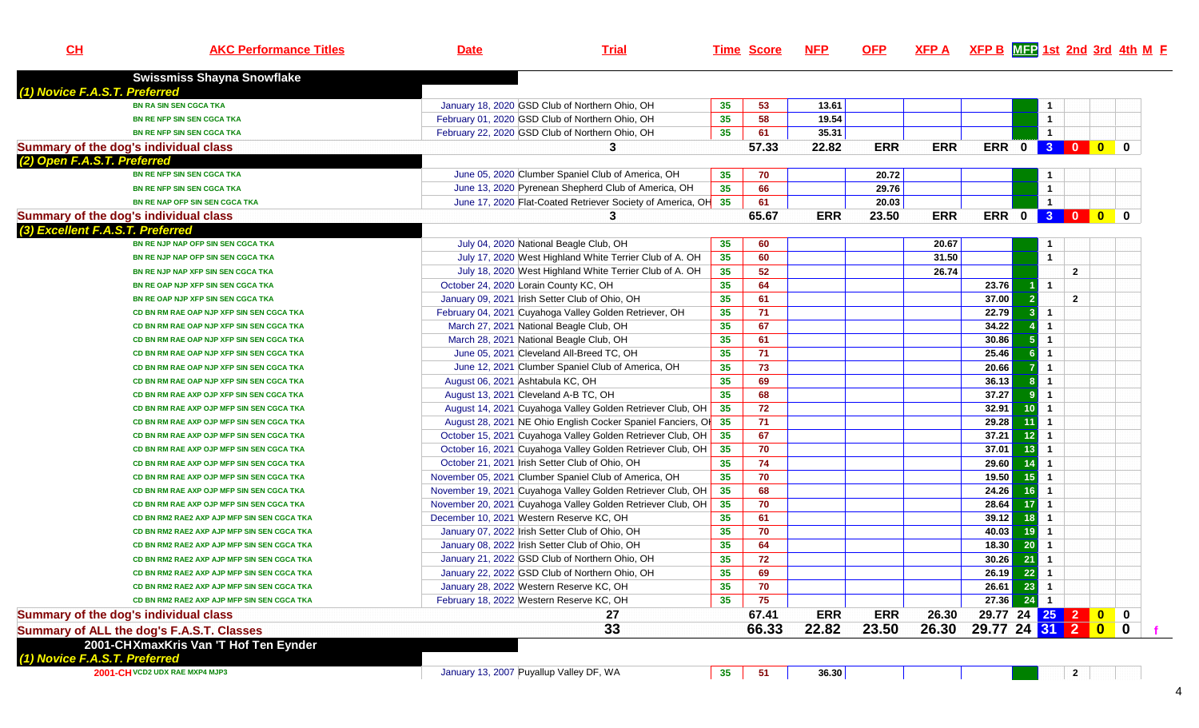| CH                                    | <b>AKC Performance Titles</b>               | <b>Date</b>                                     | <b>Trial</b>                                                |                 | <b>Time Score</b> | <u>NFP</u> | <u>OFP</u> | $XFP A$ XFP B $MTP 1st$ 2nd 3rd 4th M F |                   |    |                      |                |                                                                    |  |
|---------------------------------------|---------------------------------------------|-------------------------------------------------|-------------------------------------------------------------|-----------------|-------------------|------------|------------|-----------------------------------------|-------------------|----|----------------------|----------------|--------------------------------------------------------------------|--|
|                                       |                                             |                                                 |                                                             |                 |                   |            |            |                                         |                   |    |                      |                |                                                                    |  |
| (1) Novice F.A.S.T. Preferred         | <b>Swissmiss Shayna Snowflake</b>           |                                                 |                                                             |                 |                   |            |            |                                         |                   |    |                      |                |                                                                    |  |
|                                       | <b>BN RA SIN SEN CGCA TKA</b>               | January 18, 2020 GSD Club of Northern Ohio, OH  |                                                             | 35              | 53                | 13.61      |            |                                         |                   |    | $\mathbf 1$          |                |                                                                    |  |
|                                       | BN RE NFP SIN SEN CGCA TKA                  | February 01, 2020 GSD Club of Northern Ohio, OH |                                                             | 35              | 58                | 19.54      |            |                                         |                   |    | $\mathbf{1}$         |                |                                                                    |  |
|                                       | BN RE NFP SIN SEN CGCA TKA                  | February 22, 2020 GSD Club of Northern Ohio, OH |                                                             | 35              | 61                | 35.31      |            |                                         |                   |    | $\mathbf{1}$         |                |                                                                    |  |
| Summary of the dog's individual class |                                             |                                                 | 3                                                           |                 | 57.33             | 22.82      | <b>ERR</b> | <b>ERR</b>                              |                   |    |                      | ERR 0 3 0 0 0  |                                                                    |  |
| (2) Open F.A.S.T. Preferred           |                                             |                                                 |                                                             |                 |                   |            |            |                                         |                   |    |                      |                |                                                                    |  |
|                                       | <b>BN RE NFP SIN SEN CGCA TKA</b>           |                                                 | June 05, 2020 Clumber Spaniel Club of America, OH           | 35              | 70                |            | 20.72      |                                         |                   |    |                      |                |                                                                    |  |
|                                       | BN RE NFP SIN SEN CGCA TKA                  |                                                 | June 13, 2020 Pyrenean Shepherd Club of America, OH         | 35              | 66                |            | 29.76      |                                         |                   |    | $\mathbf{1}$         |                |                                                                    |  |
|                                       | <b>BN RE NAP OFP SIN SEN CGCA TKA</b>       |                                                 | June 17, 2020 Flat-Coated Retriever Society of America, OH  | 35              | 61                |            | 20.03      |                                         |                   |    | $\mathbf{1}$         |                |                                                                    |  |
| Summary of the dog's individual class |                                             |                                                 | 3                                                           |                 | 65.67             | <b>ERR</b> | 23.50      | <b>ERR</b>                              |                   |    |                      | ERR 0 3 0 0    | $\mathbf{0}$                                                       |  |
| (3) Excellent F.A.S.T. Preferred      |                                             |                                                 |                                                             |                 |                   |            |            |                                         |                   |    |                      |                |                                                                    |  |
|                                       | BN RE NJP NAP OFP SIN SEN CGCA TKA          | July 04, 2020 National Beagle Club, OH          |                                                             | 35              | 60                |            |            | 20.67                                   |                   |    | -1                   |                |                                                                    |  |
|                                       | BN RE NJP NAP OFP SIN SEN CGCA TKA          |                                                 | July 17, 2020 West Highland White Terrier Club of A. OH     | 35              | 60                |            |            | 31.50                                   |                   |    | $\overline{1}$       |                |                                                                    |  |
|                                       | BN RE NJP NAP XFP SIN SEN CGCA TKA          |                                                 | July 18, 2020 West Highland White Terrier Club of A. OH     | 35              | 52                |            |            | 26.74                                   |                   |    |                      | $\mathbf{2}$   |                                                                    |  |
|                                       | BN RE OAP NJP XFP SIN SEN CGCA TKA          | October 24, 2020 Lorain County KC, OH           |                                                             | 35              | 64                |            |            |                                         | 23.76             |    | $\overline{1}$       |                |                                                                    |  |
|                                       | BN RE OAP NJP XFP SIN SEN CGCA TKA          | January 09, 2021 Irish Setter Club of Ohio, OH  |                                                             | 35              | 61                |            |            |                                         | 37.00             | -2 |                      | $\overline{2}$ |                                                                    |  |
|                                       | CD BN RM RAE OAP NJP XFP SIN SEN CGCA TKA   |                                                 | February 04, 2021 Cuyahoga Valley Golden Retriever, OH      | 35              | 71                |            |            |                                         | 22.79             | -3 | $\mathbf{1}$         |                |                                                                    |  |
|                                       | CD BN RM RAE OAP NJP XFP SIN SEN CGCA TKA   | March 27, 2021 National Beagle Club, OH         |                                                             | 35              | 67                |            |            |                                         | 34.22             |    | $\mathbf{1}$         |                |                                                                    |  |
|                                       | CD BN RM RAE OAP NJP XFP SIN SEN CGCA TKA   | March 28, 2021 National Beagle Club, OH         |                                                             | 35              | 61                |            |            |                                         | 30.86             |    | $\mathbf{1}$         |                |                                                                    |  |
|                                       | CD BN RM RAE OAP NJP XFP SIN SEN CGCA TKA   | June 05, 2021 Cleveland All-Breed TC, OH        |                                                             | 35              | 71                |            |            |                                         | 25.46             |    | $\mathbf{1}$         |                |                                                                    |  |
|                                       | CD BN RM RAE OAP NJP XFP SIN SEN CGCA TKA   |                                                 | June 12, 2021 Clumber Spaniel Club of America, OH           | 35              | 73                |            |            |                                         | 20.66             |    | 1                    |                |                                                                    |  |
|                                       | CD BN RM RAE OAP NJP XFP SIN SEN CGCA TKA   | August 06, 2021 Ashtabula KC, OH                |                                                             | 35              | 69                |            |            |                                         | 36.13             |    | $\mathbf{1}$         |                |                                                                    |  |
|                                       | CD BN RM RAE AXP OJP XFP SIN SEN CGCA TKA   | August 13, 2021 Cleveland A-B TC, OH            |                                                             | 35              | 68                |            |            |                                         | 37.27             |    | $\mathbf 1$          |                |                                                                    |  |
|                                       | CD BN RM RAE AXP OJP MFP SIN SEN CGCA TKA   |                                                 | August 14, 2021 Cuyahoga Valley Golden Retriever Club, OH   | 35 <sub>5</sub> | 72                |            |            |                                         | 32.91             | 10 | $\mathbf{1}$         |                |                                                                    |  |
|                                       | CD BN RM RAE AXP OJP MFP SIN SEN CGCA TKA   |                                                 | August 28, 2021 NE Ohio English Cocker Spaniel Fanciers, O  | 35              | 71                |            |            |                                         | 29.28             |    | $\blacktriangleleft$ |                |                                                                    |  |
|                                       | CD BN RM RAE AXP OJP MFP SIN SEN CGCA TKA   |                                                 | October 15, 2021 Cuyahoga Valley Golden Retriever Club, OH  | 35              | 67                |            |            |                                         | 37.21             | 12 | $\mathbf{1}$         |                |                                                                    |  |
|                                       | CD BN RM RAE AXP OJP MFP SIN SEN CGCA TKA   |                                                 | October 16, 2021 Cuyahoga Valley Golden Retriever Club, OH  | 35              | 70                |            |            |                                         | 37.01             | 13 | $\mathbf{1}$         |                |                                                                    |  |
|                                       | CD BN RM RAE AXP OJP MFP SIN SEN CGCA TKA   | October 21, 2021 Irish Setter Club of Ohio, OH  |                                                             | 35              | 74                |            |            |                                         | 29.60             |    | $\mathbf{1}$         |                |                                                                    |  |
|                                       | CD BN RM RAE AXP OJP MFP SIN SEN CGCA TKA   |                                                 | November 05, 2021 Clumber Spaniel Club of America, OH       | 35              | 70                |            |            |                                         | 19.50             | 15 | $\mathbf{1}$         |                |                                                                    |  |
|                                       | CD BN RM RAE AXP OJP MFP SIN SEN CGCA TKA   |                                                 | November 19, 2021 Cuyahoga Valley Golden Retriever Club, OH | 35 <sub>5</sub> | 68                |            |            |                                         | 24.26             | 16 | $\mathbf{1}$         |                |                                                                    |  |
|                                       | CD BN RM RAE AXP OJP MFP SIN SEN CGCA TKA   |                                                 | November 20, 2021 Cuyahoga Valley Golden Retriever Club, OH | 35 <sub>5</sub> | 70                |            |            |                                         | 28.64             | 17 | $\mathbf{1}$         |                |                                                                    |  |
|                                       | CD BN RM2 RAE2 AXP AJP MFP SIN SEN CGCA TKA | December 10, 2021 Western Reserve KC, OH        |                                                             | 35              | 61                |            |            |                                         | 39.12             | 18 | $\mathbf{1}$         |                |                                                                    |  |
|                                       | CD BN RM2 RAE2 AXP AJP MFP SIN SEN CGCA TKA | January 07, 2022 Irish Setter Club of Ohio, OH  |                                                             | 35              | 70                |            |            |                                         | 40.03             | 19 | $\mathbf{1}$         |                |                                                                    |  |
|                                       | CD BN RM2 RAE2 AXP AJP MFP SIN SEN CGCA TKA | January 08, 2022 Irish Setter Club of Ohio, OH  |                                                             | 35              | 64                |            |            |                                         | 18.30             | 20 | $\mathbf{1}$         |                |                                                                    |  |
|                                       | CD BN RM2 RAE2 AXP AJP MFP SIN SEN CGCA TKA | January 21, 2022 GSD Club of Northern Ohio, OH  |                                                             | 35              | 72                |            |            |                                         | 30.26             | 21 | $\mathbf{1}$         |                |                                                                    |  |
|                                       | CD BN RM2 RAE2 AXP AJP MFP SIN SEN CGCA TKA | January 22, 2022 GSD Club of Northern Ohio, OH  |                                                             | 35 <sub>5</sub> | 69                |            |            |                                         | 26.19             | 22 | $\overline{1}$       |                |                                                                    |  |
|                                       | CD BN RM2 RAE2 AXP AJP MFP SIN SEN CGCA TKA | January 28, 2022 Western Reserve KC, OH         |                                                             | 35              | 70                |            |            |                                         | 26.61             | 23 | $\mathbf{1}$         |                |                                                                    |  |
|                                       | CD BN RM2 RAE2 AXP AJP MFP SIN SEN CGCA TKA | February 18, 2022 Western Reserve KC, OH        |                                                             | 35 <sup>5</sup> | 75                |            |            |                                         | 27.36             | 24 | $\blacksquare$       |                |                                                                    |  |
| Summary of the dog's individual class |                                             |                                                 | 27                                                          |                 | 67.41             | <b>ERR</b> | <b>ERR</b> | 26.30                                   | 29 77 24 25 2     |    |                      |                | $\begin{array}{ c c c c c }\n\hline\n0 & 0 \\ \hline\n\end{array}$ |  |
|                                       | Summary of ALL the dog's F.A.S.T. Classes   |                                                 | 33                                                          |                 | 66.33             | 22.82      | 23.50      | 26.30                                   | 29.77 24 31 2 0 0 |    |                      |                |                                                                    |  |
| (1) Novice F.A.S.T. Preferred         | 2001-CHXmaxKris Van 'T Hof Ten Eynder       |                                                 |                                                             |                 |                   |            |            |                                         |                   |    |                      |                |                                                                    |  |
|                                       | 2001-CH VCD2 UDX RAE MXP4 MJP3              | January 13, 2007 Puyallup Valley DF, WA         |                                                             | 35              | 51                | 36.30      |            |                                         |                   |    |                      | $\mathbf{2}$   |                                                                    |  |

4